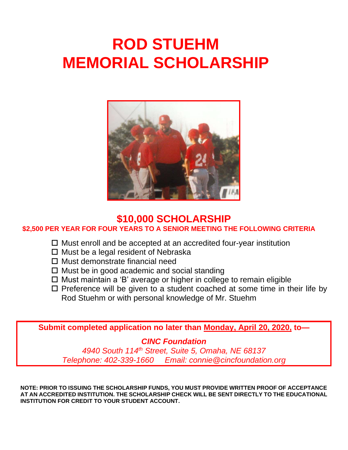# **ROD STUEHM MEMORIAL SCHOLARSHIP**



## **\$10,000 SCHOLARSHIP**

**\$2,500 PER YEAR FOR FOUR YEARS TO A SENIOR MEETING THE FOLLOWING CRITERIA**

- $\Box$  Must enroll and be accepted at an accredited four-year institution
- $\Box$  Must be a legal resident of Nebraska
- $\Box$  Must demonstrate financial need
- $\Box$  Must be in good academic and social standing
- Must maintain a 'B' average or higher in college to remain eligible
- $\square$  Preference will be given to a student coached at some time in their life by Rod Stuehm or with personal knowledge of Mr. Stuehm

**Submit completed application no later than Monday, April 20, 2020, to—**

### *CINC Foundation*

*4940 South 114th Street, Suite 5, Omaha, NE 68137 Telephone: 402-339-1660 Email: connie@cincfoundation.org*

**NOTE: PRIOR TO ISSUING THE SCHOLARSHIP FUNDS, YOU MUST PROVIDE WRITTEN PROOF OF ACCEPTANCE AT AN ACCREDITED INSTITUTION. THE SCHOLARSHIP CHECK WILL BE SENT DIRECTLY TO THE EDUCATIONAL INSTITUTION FOR CREDIT TO YOUR STUDENT ACCOUNT.**